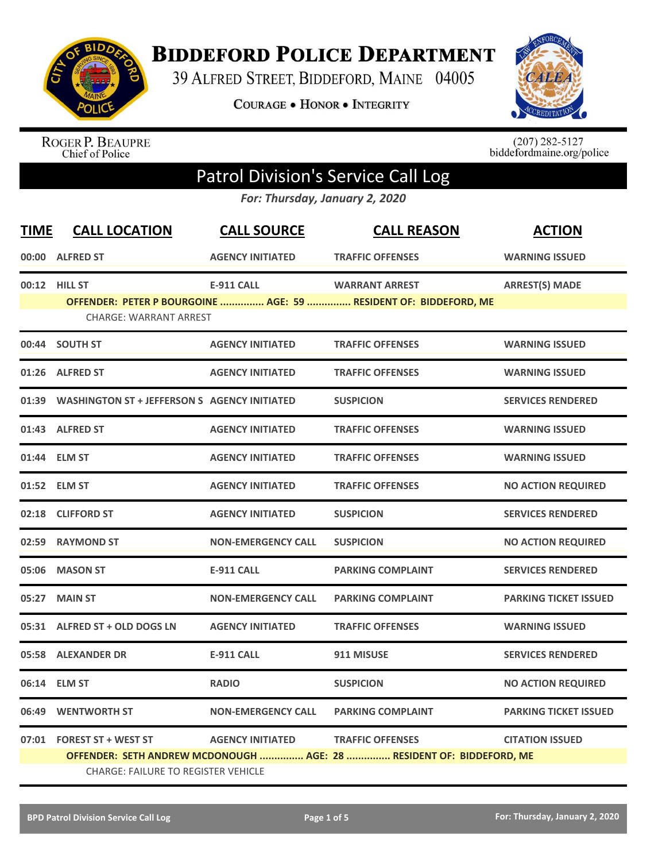

**BIDDEFORD POLICE DEPARTMENT** 

39 ALFRED STREET, BIDDEFORD, MAINE 04005

**COURAGE . HONOR . INTEGRITY** 



ROGER P. BEAUPRE<br>Chief of Police

 $(207)$  282-5127<br>biddefordmaine.org/police

## Patrol Division's Service Call Log

*For: Thursday, January 2, 2020*

| <b>TIME</b> | <b>CALL LOCATION</b>                                | <b>CALL SOURCE</b>        | <b>CALL REASON</b>                                                   | <b>ACTION</b>                |  |
|-------------|-----------------------------------------------------|---------------------------|----------------------------------------------------------------------|------------------------------|--|
|             | 00:00 ALFRED ST                                     | <b>AGENCY INITIATED</b>   | <b>TRAFFIC OFFENSES</b>                                              | <b>WARNING ISSUED</b>        |  |
|             | 00:12 HILL ST                                       | <b>E-911 CALL</b>         | <b>WARRANT ARREST</b>                                                | <b>ARREST(S) MADE</b>        |  |
|             | <b>CHARGE: WARRANT ARREST</b>                       |                           | OFFENDER: PETER P BOURGOINE  AGE: 59  RESIDENT OF: BIDDEFORD, ME     |                              |  |
|             | 00:44 SOUTH ST                                      | <b>AGENCY INITIATED</b>   | <b>TRAFFIC OFFENSES</b>                                              | <b>WARNING ISSUED</b>        |  |
|             | 01:26 ALFRED ST                                     | <b>AGENCY INITIATED</b>   | <b>TRAFFIC OFFENSES</b>                                              | <b>WARNING ISSUED</b>        |  |
| 01:39       | <b>WASHINGTON ST + JEFFERSON S AGENCY INITIATED</b> |                           | <b>SUSPICION</b>                                                     | <b>SERVICES RENDERED</b>     |  |
|             | 01:43 ALFRED ST                                     | <b>AGENCY INITIATED</b>   | <b>TRAFFIC OFFENSES</b>                                              | <b>WARNING ISSUED</b>        |  |
|             | 01:44 ELM ST                                        | <b>AGENCY INITIATED</b>   | <b>TRAFFIC OFFENSES</b>                                              | <b>WARNING ISSUED</b>        |  |
|             | 01:52 ELM ST                                        | <b>AGENCY INITIATED</b>   | <b>TRAFFIC OFFENSES</b>                                              | <b>NO ACTION REQUIRED</b>    |  |
|             | 02:18 CLIFFORD ST                                   | <b>AGENCY INITIATED</b>   | <b>SUSPICION</b>                                                     | <b>SERVICES RENDERED</b>     |  |
|             | 02:59 RAYMOND ST                                    | <b>NON-EMERGENCY CALL</b> | <b>SUSPICION</b>                                                     | <b>NO ACTION REQUIRED</b>    |  |
|             | 05:06 MASON ST                                      | <b>E-911 CALL</b>         | <b>PARKING COMPLAINT</b>                                             | <b>SERVICES RENDERED</b>     |  |
|             | 05:27 MAIN ST                                       | <b>NON-EMERGENCY CALL</b> | <b>PARKING COMPLAINT</b>                                             | <b>PARKING TICKET ISSUED</b> |  |
|             | 05:31 ALFRED ST + OLD DOGS LN                       | <b>AGENCY INITIATED</b>   | <b>TRAFFIC OFFENSES</b>                                              | <b>WARNING ISSUED</b>        |  |
|             | 05:58 ALEXANDER DR                                  | <b>E-911 CALL</b>         | 911 MISUSE                                                           | <b>SERVICES RENDERED</b>     |  |
|             | 06:14 ELM ST                                        | <b>RADIO</b>              | <b>SUSPICION</b>                                                     | <b>NO ACTION REQUIRED</b>    |  |
|             | 06:49 WENTWORTH ST                                  | <b>NON-EMERGENCY CALL</b> | <b>PARKING COMPLAINT</b>                                             | <b>PARKING TICKET ISSUED</b> |  |
|             | 07:01 FOREST ST + WEST ST                           | <b>AGENCY INITIATED</b>   | <b>TRAFFIC OFFENSES</b>                                              | <b>CITATION ISSUED</b>       |  |
|             |                                                     |                           | OFFENDER: SETH ANDREW MCDONOUGH  AGE: 28  RESIDENT OF: BIDDEFORD, ME |                              |  |
|             | <b>CHARGE: FAILURE TO REGISTER VEHICLE</b>          |                           |                                                                      |                              |  |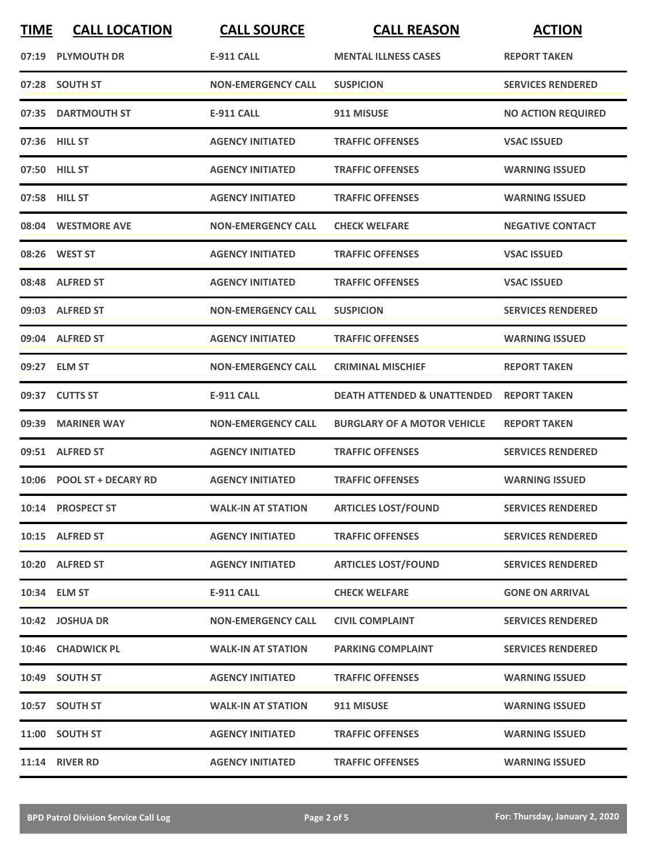| <b>TIME</b> | <b>CALL LOCATION</b>      | <b>CALL SOURCE</b>        | <b>CALL REASON</b>                     | <b>ACTION</b>             |
|-------------|---------------------------|---------------------------|----------------------------------------|---------------------------|
|             | 07:19 PLYMOUTH DR         | <b>E-911 CALL</b>         | <b>MENTAL ILLNESS CASES</b>            | <b>REPORT TAKEN</b>       |
|             | 07:28 SOUTH ST            | <b>NON-EMERGENCY CALL</b> | <b>SUSPICION</b>                       | <b>SERVICES RENDERED</b>  |
|             | 07:35 DARTMOUTH ST        | <b>E-911 CALL</b>         | 911 MISUSE                             | <b>NO ACTION REQUIRED</b> |
|             | 07:36 HILL ST             | <b>AGENCY INITIATED</b>   | <b>TRAFFIC OFFENSES</b>                | <b>VSAC ISSUED</b>        |
|             | 07:50 HILL ST             | <b>AGENCY INITIATED</b>   | <b>TRAFFIC OFFENSES</b>                | <b>WARNING ISSUED</b>     |
|             | 07:58 HILL ST             | <b>AGENCY INITIATED</b>   | <b>TRAFFIC OFFENSES</b>                | <b>WARNING ISSUED</b>     |
|             | 08:04 WESTMORE AVE        | <b>NON-EMERGENCY CALL</b> | <b>CHECK WELFARE</b>                   | <b>NEGATIVE CONTACT</b>   |
|             | 08:26 WEST ST             | <b>AGENCY INITIATED</b>   | <b>TRAFFIC OFFENSES</b>                | <b>VSAC ISSUED</b>        |
|             | 08:48 ALFRED ST           | <b>AGENCY INITIATED</b>   | <b>TRAFFIC OFFENSES</b>                | <b>VSAC ISSUED</b>        |
|             | 09:03 ALFRED ST           | <b>NON-EMERGENCY CALL</b> | <b>SUSPICION</b>                       | <b>SERVICES RENDERED</b>  |
|             | 09:04 ALFRED ST           | <b>AGENCY INITIATED</b>   | <b>TRAFFIC OFFENSES</b>                | <b>WARNING ISSUED</b>     |
|             | 09:27 ELM ST              | <b>NON-EMERGENCY CALL</b> | <b>CRIMINAL MISCHIEF</b>               | <b>REPORT TAKEN</b>       |
|             | 09:37 CUTTS ST            | <b>E-911 CALL</b>         | <b>DEATH ATTENDED &amp; UNATTENDED</b> | <b>REPORT TAKEN</b>       |
| 09:39       | <b>MARINER WAY</b>        | <b>NON-EMERGENCY CALL</b> | <b>BURGLARY OF A MOTOR VEHICLE</b>     | <b>REPORT TAKEN</b>       |
|             | 09:51 ALFRED ST           | <b>AGENCY INITIATED</b>   | <b>TRAFFIC OFFENSES</b>                | <b>SERVICES RENDERED</b>  |
|             | 10:06 POOL ST + DECARY RD | <b>AGENCY INITIATED</b>   | <b>TRAFFIC OFFENSES</b>                | <b>WARNING ISSUED</b>     |
|             | 10:14 PROSPECT ST         |                           | WALK-IN AT STATION ARTICLES LOST/FOUND | <b>SERVICES RENDERED</b>  |
|             | 10:15 ALFRED ST           | <b>AGENCY INITIATED</b>   | <b>TRAFFIC OFFENSES</b>                | <b>SERVICES RENDERED</b>  |
|             | 10:20 ALFRED ST           | <b>AGENCY INITIATED</b>   | <b>ARTICLES LOST/FOUND</b>             | <b>SERVICES RENDERED</b>  |
|             | 10:34 ELM ST              | E-911 CALL                | <b>CHECK WELFARE</b>                   | <b>GONE ON ARRIVAL</b>    |
|             | 10:42 JOSHUA DR           | <b>NON-EMERGENCY CALL</b> | <b>CIVIL COMPLAINT</b>                 | <b>SERVICES RENDERED</b>  |
|             | 10:46 CHADWICK PL         | <b>WALK-IN AT STATION</b> | <b>PARKING COMPLAINT</b>               | <b>SERVICES RENDERED</b>  |
|             | 10:49 SOUTH ST            | <b>AGENCY INITIATED</b>   | <b>TRAFFIC OFFENSES</b>                | <b>WARNING ISSUED</b>     |
|             | 10:57 SOUTH ST            | <b>WALK-IN AT STATION</b> | 911 MISUSE                             | <b>WARNING ISSUED</b>     |
|             | 11:00 SOUTH ST            | <b>AGENCY INITIATED</b>   | <b>TRAFFIC OFFENSES</b>                | <b>WARNING ISSUED</b>     |
|             | 11:14 RIVER RD            | <b>AGENCY INITIATED</b>   | <b>TRAFFIC OFFENSES</b>                | <b>WARNING ISSUED</b>     |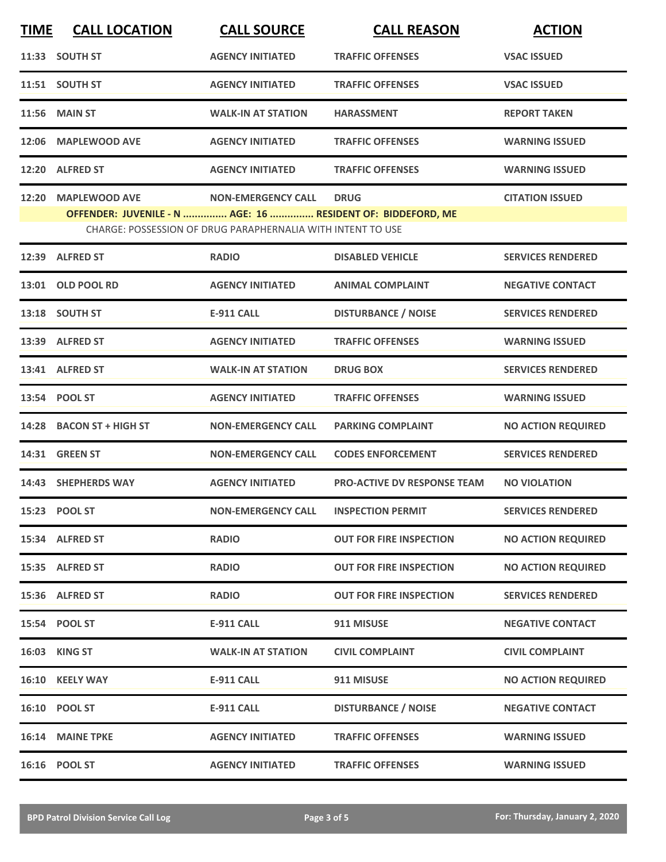| <b>TIME</b> | <b>CALL LOCATION</b>                                                                | <b>CALL SOURCE</b>                                                                       | <b>CALL REASON</b>                 | <b>ACTION</b>             |
|-------------|-------------------------------------------------------------------------------------|------------------------------------------------------------------------------------------|------------------------------------|---------------------------|
|             | 11:33 SOUTH ST                                                                      | <b>AGENCY INITIATED</b>                                                                  | <b>TRAFFIC OFFENSES</b>            | <b>VSAC ISSUED</b>        |
|             | 11:51 SOUTH ST                                                                      | <b>AGENCY INITIATED</b>                                                                  | <b>TRAFFIC OFFENSES</b>            | <b>VSAC ISSUED</b>        |
|             | <b>11:56 MAIN ST</b>                                                                | <b>WALK-IN AT STATION</b>                                                                | <b>HARASSMENT</b>                  | <b>REPORT TAKEN</b>       |
| 12:06       | <b>MAPLEWOOD AVE</b>                                                                | <b>AGENCY INITIATED</b>                                                                  | <b>TRAFFIC OFFENSES</b>            | <b>WARNING ISSUED</b>     |
|             | 12:20 ALFRED ST                                                                     | <b>AGENCY INITIATED</b>                                                                  | <b>TRAFFIC OFFENSES</b>            | <b>WARNING ISSUED</b>     |
| 12:20       | <b>MAPLEWOOD AVE</b><br>OFFENDER: JUVENILE - N  AGE: 16  RESIDENT OF: BIDDEFORD, ME | <b>NON-EMERGENCY CALL</b><br>CHARGE: POSSESSION OF DRUG PARAPHERNALIA WITH INTENT TO USE | <b>DRUG</b>                        | <b>CITATION ISSUED</b>    |
| 12:39       | <b>ALFRED ST</b>                                                                    | <b>RADIO</b>                                                                             | <b>DISABLED VEHICLE</b>            | <b>SERVICES RENDERED</b>  |
|             | 13:01 OLD POOL RD                                                                   | <b>AGENCY INITIATED</b>                                                                  | <b>ANIMAL COMPLAINT</b>            | <b>NEGATIVE CONTACT</b>   |
|             | 13:18 SOUTH ST                                                                      | <b>E-911 CALL</b>                                                                        | <b>DISTURBANCE / NOISE</b>         | <b>SERVICES RENDERED</b>  |
|             | 13:39 ALFRED ST                                                                     | <b>AGENCY INITIATED</b>                                                                  | <b>TRAFFIC OFFENSES</b>            | <b>WARNING ISSUED</b>     |
|             | 13:41 ALFRED ST                                                                     | <b>WALK-IN AT STATION</b>                                                                | <b>DRUG BOX</b>                    | <b>SERVICES RENDERED</b>  |
|             | 13:54 POOL ST                                                                       | <b>AGENCY INITIATED</b>                                                                  | <b>TRAFFIC OFFENSES</b>            | <b>WARNING ISSUED</b>     |
|             | 14:28 BACON ST + HIGH ST                                                            | <b>NON-EMERGENCY CALL</b>                                                                | <b>PARKING COMPLAINT</b>           | <b>NO ACTION REQUIRED</b> |
|             | <b>14:31 GREEN ST</b>                                                               | <b>NON-EMERGENCY CALL</b>                                                                | <b>CODES ENFORCEMENT</b>           | <b>SERVICES RENDERED</b>  |
|             | 14:43 SHEPHERDS WAY                                                                 | <b>AGENCY INITIATED</b>                                                                  | <b>PRO-ACTIVE DV RESPONSE TEAM</b> | <b>NO VIOLATION</b>       |
|             | 15:23 POOL ST                                                                       | <b>NON-EMERGENCY CALL</b>                                                                | <b>INSPECTION PERMIT</b>           | <b>SERVICES RENDERED</b>  |
|             | 15:34 ALFRED ST                                                                     | <b>RADIO</b>                                                                             | <b>OUT FOR FIRE INSPECTION</b>     | <b>NO ACTION REQUIRED</b> |
|             | 15:35 ALFRED ST                                                                     | <b>RADIO</b>                                                                             | <b>OUT FOR FIRE INSPECTION</b>     | <b>NO ACTION REQUIRED</b> |
|             | 15:36 ALFRED ST                                                                     | <b>RADIO</b>                                                                             | <b>OUT FOR FIRE INSPECTION</b>     | <b>SERVICES RENDERED</b>  |
|             | 15:54 POOL ST                                                                       | <b>E-911 CALL</b>                                                                        | 911 MISUSE                         | <b>NEGATIVE CONTACT</b>   |
|             | 16:03 KING ST                                                                       | <b>WALK-IN AT STATION</b>                                                                | <b>CIVIL COMPLAINT</b>             | <b>CIVIL COMPLAINT</b>    |
|             | 16:10 KEELY WAY                                                                     | <b>E-911 CALL</b>                                                                        | 911 MISUSE                         | <b>NO ACTION REQUIRED</b> |
|             | 16:10 POOL ST                                                                       | <b>E-911 CALL</b>                                                                        | <b>DISTURBANCE / NOISE</b>         | <b>NEGATIVE CONTACT</b>   |
|             | 16:14 MAINE TPKE                                                                    | <b>AGENCY INITIATED</b>                                                                  | <b>TRAFFIC OFFENSES</b>            | <b>WARNING ISSUED</b>     |
|             | 16:16 POOL ST                                                                       | <b>AGENCY INITIATED</b>                                                                  | <b>TRAFFIC OFFENSES</b>            | <b>WARNING ISSUED</b>     |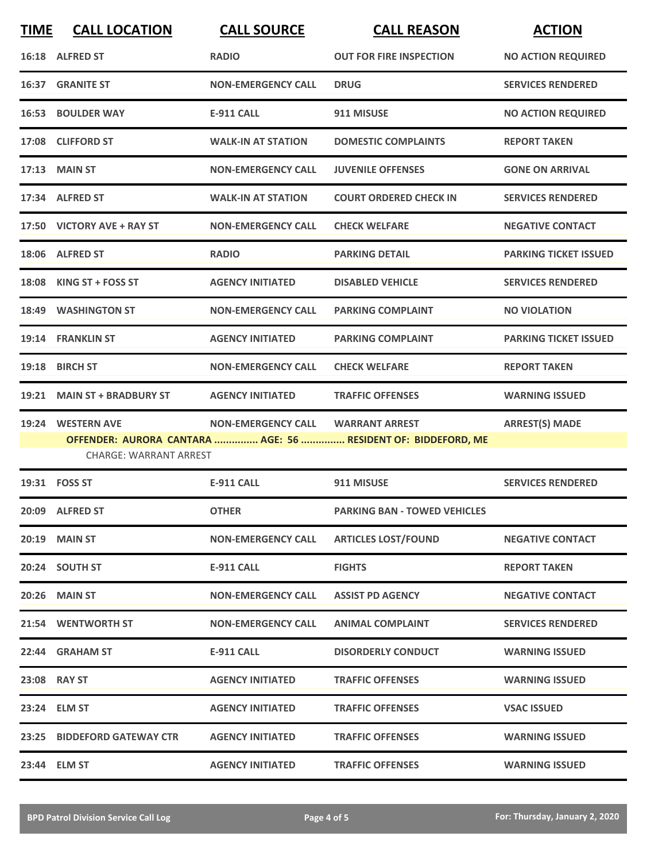| <b>TIME</b> | <b>CALL LOCATION</b>          | <b>CALL SOURCE</b>        | <b>CALL REASON</b>                                            | <b>ACTION</b>                |
|-------------|-------------------------------|---------------------------|---------------------------------------------------------------|------------------------------|
|             | 16:18 ALFRED ST               | <b>RADIO</b>              | <b>OUT FOR FIRE INSPECTION</b>                                | <b>NO ACTION REQUIRED</b>    |
|             | <b>16:37 GRANITE ST</b>       | <b>NON-EMERGENCY CALL</b> | <b>DRUG</b>                                                   | <b>SERVICES RENDERED</b>     |
| 16:53       | <b>BOULDER WAY</b>            | <b>E-911 CALL</b>         | 911 MISUSE                                                    | <b>NO ACTION REQUIRED</b>    |
|             | 17:08 CLIFFORD ST             | <b>WALK-IN AT STATION</b> | <b>DOMESTIC COMPLAINTS</b>                                    | <b>REPORT TAKEN</b>          |
|             | 17:13 MAIN ST                 | <b>NON-EMERGENCY CALL</b> | <b>JUVENILE OFFENSES</b>                                      | <b>GONE ON ARRIVAL</b>       |
|             | 17:34 ALFRED ST               | <b>WALK-IN AT STATION</b> | <b>COURT ORDERED CHECK IN</b>                                 | <b>SERVICES RENDERED</b>     |
|             | 17:50 VICTORY AVE + RAY ST    | <b>NON-EMERGENCY CALL</b> | <b>CHECK WELFARE</b>                                          | <b>NEGATIVE CONTACT</b>      |
|             | 18:06 ALFRED ST               | <b>RADIO</b>              | <b>PARKING DETAIL</b>                                         | <b>PARKING TICKET ISSUED</b> |
|             | 18:08 KING ST + FOSS ST       | <b>AGENCY INITIATED</b>   | <b>DISABLED VEHICLE</b>                                       | <b>SERVICES RENDERED</b>     |
| 18:49       | <b>WASHINGTON ST</b>          | <b>NON-EMERGENCY CALL</b> | <b>PARKING COMPLAINT</b>                                      | <b>NO VIOLATION</b>          |
| 19:14       | <b>FRANKLIN ST</b>            | <b>AGENCY INITIATED</b>   | <b>PARKING COMPLAINT</b>                                      | <b>PARKING TICKET ISSUED</b> |
|             | 19:18 BIRCH ST                | <b>NON-EMERGENCY CALL</b> | <b>CHECK WELFARE</b>                                          | <b>REPORT TAKEN</b>          |
|             | 19:21 MAIN ST + BRADBURY ST   | <b>AGENCY INITIATED</b>   | <b>TRAFFIC OFFENSES</b>                                       | <b>WARNING ISSUED</b>        |
| 19:24       | <b>WESTERN AVE</b>            | <b>NON-EMERGENCY CALL</b> | <b>WARRANT ARREST</b>                                         | <b>ARREST(S) MADE</b>        |
|             | <b>CHARGE: WARRANT ARREST</b> |                           | OFFENDER: AURORA CANTARA  AGE: 56  RESIDENT OF: BIDDEFORD, ME |                              |
|             | 19:31 FOSS ST                 | <b>E-911 CALL</b>         | 911 MISUSE                                                    | <b>SERVICES RENDERED</b>     |
|             | 20:09 ALFRED ST               | <b>OTHER</b>              | <b>PARKING BAN - TOWED VEHICLES</b>                           |                              |
|             | 20:19 MAIN ST                 | <b>NON-EMERGENCY CALL</b> | <b>ARTICLES LOST/FOUND</b>                                    | <b>NEGATIVE CONTACT</b>      |
|             | 20:24 SOUTH ST                | <b>E-911 CALL</b>         | <b>FIGHTS</b>                                                 | <b>REPORT TAKEN</b>          |
|             | 20:26 MAIN ST                 | <b>NON-EMERGENCY CALL</b> | <b>ASSIST PD AGENCY</b>                                       | <b>NEGATIVE CONTACT</b>      |
|             | 21:54 WENTWORTH ST            | <b>NON-EMERGENCY CALL</b> | <b>ANIMAL COMPLAINT</b>                                       | <b>SERVICES RENDERED</b>     |
|             | 22:44 GRAHAM ST               | E-911 CALL                | <b>DISORDERLY CONDUCT</b>                                     | <b>WARNING ISSUED</b>        |
|             | 23:08 RAY ST                  | <b>AGENCY INITIATED</b>   | <b>TRAFFIC OFFENSES</b>                                       | <b>WARNING ISSUED</b>        |
|             | 23:24 ELM ST                  | <b>AGENCY INITIATED</b>   | <b>TRAFFIC OFFENSES</b>                                       | <b>VSAC ISSUED</b>           |
|             | 23:25 BIDDEFORD GATEWAY CTR   | <b>AGENCY INITIATED</b>   | <b>TRAFFIC OFFENSES</b>                                       | <b>WARNING ISSUED</b>        |
|             | 23:44 ELM ST                  | <b>AGENCY INITIATED</b>   | <b>TRAFFIC OFFENSES</b>                                       | <b>WARNING ISSUED</b>        |